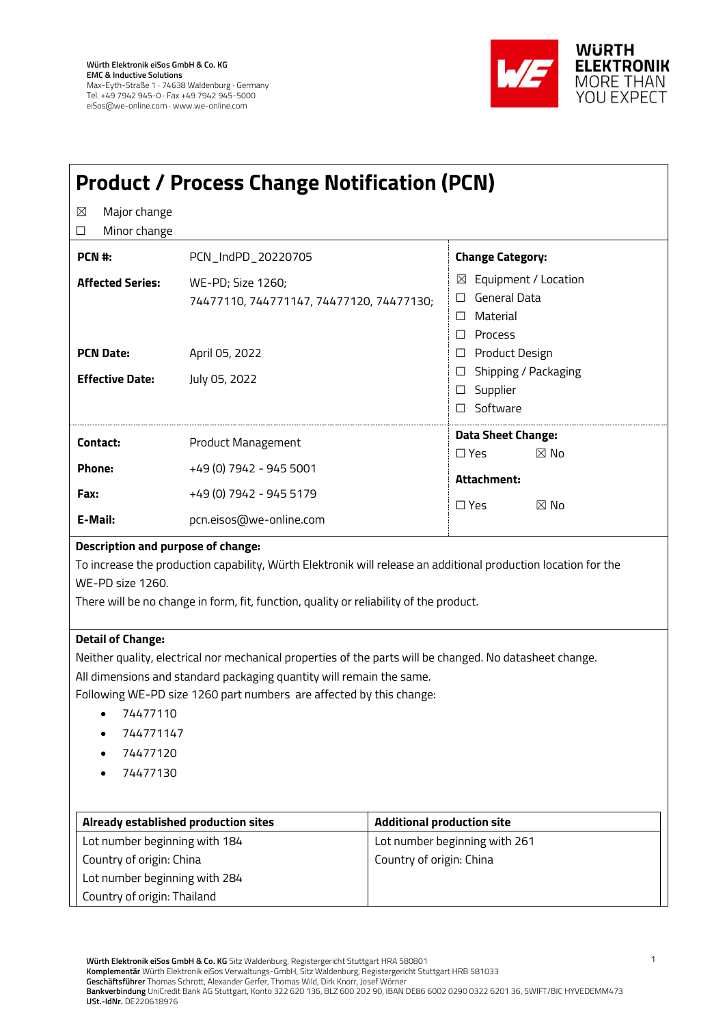

| <b>Product / Process Change Notification (PCN)</b>                                                                                                                                                                                                                                                                                   |                                                                                                  |                                   |                                                                                                                                                                      |  |
|--------------------------------------------------------------------------------------------------------------------------------------------------------------------------------------------------------------------------------------------------------------------------------------------------------------------------------------|--------------------------------------------------------------------------------------------------|-----------------------------------|----------------------------------------------------------------------------------------------------------------------------------------------------------------------|--|
| Major change<br>⊠<br>Minor change<br>□                                                                                                                                                                                                                                                                                               |                                                                                                  |                                   |                                                                                                                                                                      |  |
| PCN #:                                                                                                                                                                                                                                                                                                                               | PCN_IndPD_20220705                                                                               |                                   | <b>Change Category:</b>                                                                                                                                              |  |
| <b>Affected Series:</b><br><b>PCN Date:</b><br><b>Effective Date:</b>                                                                                                                                                                                                                                                                | WE-PD; Size 1260;<br>74477110, 744771147, 74477120, 74477130;<br>April 05, 2022<br>July 05, 2022 |                                   | $\boxtimes$ Equipment / Location<br>General Data<br>□<br>Material<br>$\Box$<br>$\Box$ Process<br>□ Product Design<br>Shipping / Packaging<br>⊔<br>Supplier<br>$\Box$ |  |
|                                                                                                                                                                                                                                                                                                                                      |                                                                                                  |                                   | □ Software                                                                                                                                                           |  |
| Contact:                                                                                                                                                                                                                                                                                                                             | Product Management                                                                               |                                   | <b>Data Sheet Change:</b><br>$\Box$ Yes<br>$\boxtimes$ No                                                                                                            |  |
| Phone:                                                                                                                                                                                                                                                                                                                               | +49 (0) 7942 - 945 5001                                                                          |                                   | Attachment:                                                                                                                                                          |  |
| Fax:                                                                                                                                                                                                                                                                                                                                 | +49 (0) 7942 - 945 5179<br>pcn.eisos@we-online.com                                               |                                   | $\square$ Yes<br>$\boxtimes$ No                                                                                                                                      |  |
| E-Mail:                                                                                                                                                                                                                                                                                                                              |                                                                                                  |                                   |                                                                                                                                                                      |  |
| Description and purpose of change:<br>To increase the production capability, Würth Elektronik will release an additional production location for the<br>WE-PD size 1260.<br>There will be no change in form, fit, function, quality or reliability of the product.                                                                   |                                                                                                  |                                   |                                                                                                                                                                      |  |
| <b>Detail of Change:</b><br>Neither quality, electrical nor mechanical properties of the parts will be changed. No datasheet change.<br>All dimensions and standard packaging quantity will remain the same.<br>Following WE-PD size 1260 part numbers are affected by this change:<br>74477110<br>744771147<br>74477120<br>74477130 |                                                                                                  |                                   |                                                                                                                                                                      |  |
| Already established production sites                                                                                                                                                                                                                                                                                                 |                                                                                                  | <b>Additional production site</b> |                                                                                                                                                                      |  |
| Lot number beginning with 184                                                                                                                                                                                                                                                                                                        |                                                                                                  | Lot number beginning with 261     |                                                                                                                                                                      |  |
| Country of origin: China<br>Lot number beginning with 284                                                                                                                                                                                                                                                                            |                                                                                                  | Country of origin: China          |                                                                                                                                                                      |  |
| Country of origin: Thailand                                                                                                                                                                                                                                                                                                          |                                                                                                  |                                   |                                                                                                                                                                      |  |